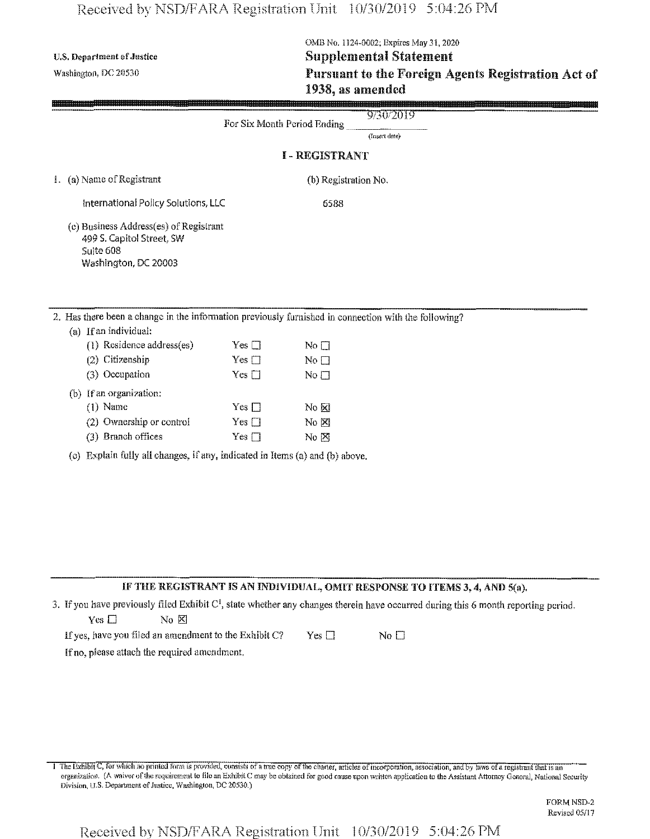## Received by NSD/FARA Registration **Unit** 10/30/2019 5:04:26 PM

# **OMB** No. 1124-0002; Expires May 31, 2020 U.S. Department of Justice Supplemental Statement **Washington,** *dc* <sup>20530</sup> **Pursuant** to the Foreign Agents Registration Act of **1938, as amended**

|                                                                                                                               |               |                                 | 'A HEDHAHEL LU LILV A'UI VEN AYN LINDI AVNIDI ALIUI AYLL UI<br>1938, as amended |
|-------------------------------------------------------------------------------------------------------------------------------|---------------|---------------------------------|---------------------------------------------------------------------------------|
|                                                                                                                               |               | For Six Month Period Ending     | 9/30/2019                                                                       |
|                                                                                                                               |               |                                 | (Insert date)                                                                   |
|                                                                                                                               |               | <b>I-REGISTRANT</b>             |                                                                                 |
| 1. (a) Name of Registrant                                                                                                     |               | (b) Registration No.            |                                                                                 |
| International Policy Solutions, LLC                                                                                           |               | 6588                            |                                                                                 |
| (c) Business Address(es) of Registrant<br>499 S. Capitol Street, SW<br>Suite 608<br>Washington, DC 20003                      |               |                                 |                                                                                 |
| 2. Has there been a change in the information previously furnished in connection with the following?<br>(a) If an individual: |               |                                 |                                                                                 |
| (1) Residence address(es)                                                                                                     | Yes $\square$ | $\rm No$ $\Box$                 |                                                                                 |
| (2) Citizenship                                                                                                               | Yes $\square$ | No $\Box$                       |                                                                                 |
| (3) Occupation                                                                                                                | $Yes \Box$    | No <sub>1</sub>                 |                                                                                 |
| (b) If an organization:                                                                                                       |               |                                 |                                                                                 |
| $(1)$ Name                                                                                                                    | Yes $\square$ | No & N                          |                                                                                 |
| (2) Ownership or control                                                                                                      | $Yes \Box$    | No &                            |                                                                                 |
| (3) Branch offices                                                                                                            | Yes $\square$ | $\overline{N}$ o $\overline{M}$ |                                                                                 |
| (c) Explain fully all changes, if any, indicated in Items (a) and (b) above,                                                  |               |                                 |                                                                                 |

# **IF THE REGISTRANT IS AN INDIVIDUAL, OMIT RESPONSE TO ITEMS 3,4, AND 5(a),**

3. Ifyou have previously filed Exhibit *C\* state whether any changes therein have occurred during this 6 month reporting period.  $Yes \Box$  No  $XI$ 

If yes, have you filed an amendment to the Exhibit C? Yes  $\Box$  No  $\Box$ 

Ifno, please attach the required amendment.

I The Exhibit C, for which no printed form is provided, consists of a true copy of the charter, articles of incorporation, association, and by laws of a registrant that is an organization. (A waiver of the requirement to file an Exhibit C may be obtained for good cause upon written application to the Assistant Attorney General, National Security Division, U.S. Department of Justice, Washington, DC 20530.)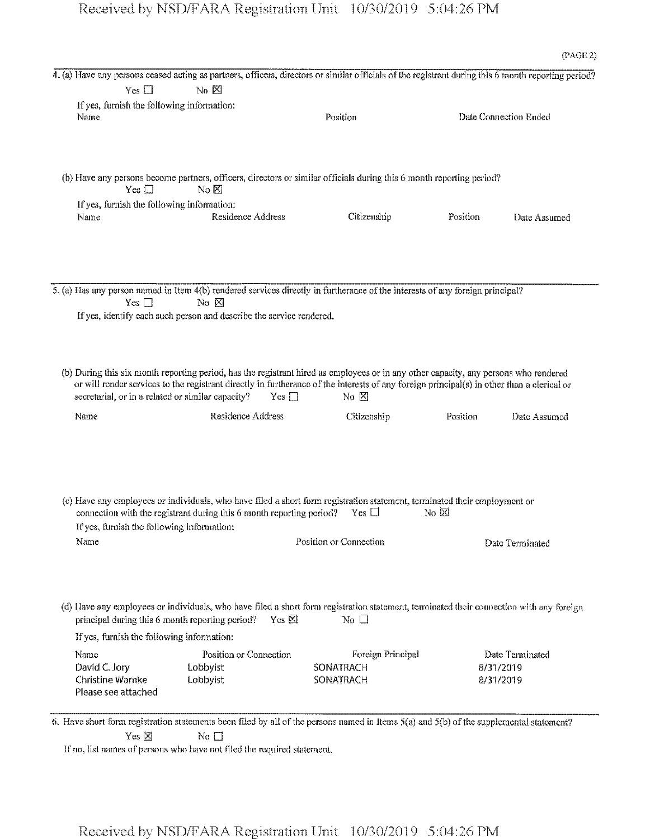|                                                                                               | 4. (a) Have any persons ceased acting as partners, officers, directors or similar officials of the registrant during this 6 month reporting period?                                                                |                                                    |                |                                           |
|-----------------------------------------------------------------------------------------------|--------------------------------------------------------------------------------------------------------------------------------------------------------------------------------------------------------------------|----------------------------------------------------|----------------|-------------------------------------------|
| $Yes \Box$                                                                                    | $No \cancel{\boxtimes}$                                                                                                                                                                                            |                                                    |                |                                           |
| If yes, furnish the following information:<br>Name                                            |                                                                                                                                                                                                                    | Position                                           |                | Date Connection Ended                     |
| Yes $\square$                                                                                 | (b) Have any persons become partners, officers, directors or similar officials during this 6 month reporting period?<br>No $\boxtimes$                                                                             |                                                    |                |                                           |
| If yes, furnish the following information:                                                    |                                                                                                                                                                                                                    |                                                    |                |                                           |
| Name                                                                                          | Residence Address                                                                                                                                                                                                  | Citizenship                                        | Position       | Date Assumed                              |
| Yes $\square$                                                                                 | 5. (a) Has any person named in Item 4(b) rendered services directly in furtherance of the interests of any foreign principal?<br>$No$ $N0$<br>If yes, identify each such person and describe the service rendered. |                                                    |                |                                           |
|                                                                                               | (b) During this six month reporting period, has the registrant hired as employees or in any other capacity, any persons who rendered                                                                               |                                                    |                |                                           |
| secretarial, or in a related or similar capacity?                                             | or will render services to the registrant directly in furtherance of the interests of any foreign principal(s) in other than a clerical or<br>$Yes \square$                                                        | No $\Sigma$                                        |                |                                           |
| Name                                                                                          | Residence Address                                                                                                                                                                                                  | Citizenship                                        | Position       | Date Assumed                              |
| If yes, furnish the following information:<br>Name                                            | (c) Have any employees or individuals, who have filed a short form registration statement, terminated their employment or<br>connection with the registrant during this 6 month reporting period? Yes $\Box$       | Position or Connection                             | No $\boxtimes$ | Date Terminated                           |
| principal during this 6 month reporting period?<br>If yes, furnish the following information: | (d) Have any employees or individuals, who have filed a short form registration statement, terminated their connection with any foreign<br>Yes $\boxtimes$                                                         | No $\Box$                                          |                |                                           |
| Name<br>David C. Jory<br><b>Christine Warnke</b><br>Please see attached                       | Position or Connection<br>Lobbyist<br>Lobbyist                                                                                                                                                                     | Foreign Principal<br><b>SONATRACH</b><br>SONATRACH |                | Date Terminated<br>8/31/2019<br>8/31/2019 |

6. Have short form registration statements been filed by all of the persons named in Items 5(a) and 5(b) of the supplemental statement? Yes *⊠* No **□** 

If no, list names of persons who have not filed the required statement.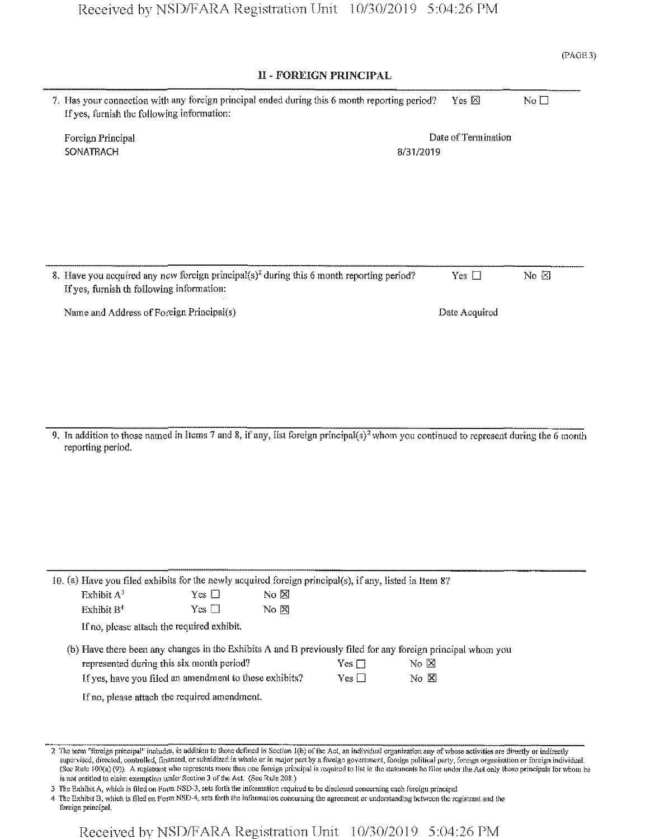| (PAGE 3) |  |
|----------|--|
|          |  |

### II - FOREIGN PRINCIPAL

| 7. Has your connection with any foreign principal ended during this 6 month reporting period?<br>If yes, furnish the following information:       |           | Yes $\times$        | No $\square$   |
|---------------------------------------------------------------------------------------------------------------------------------------------------|-----------|---------------------|----------------|
| Foreign Principal<br><b>SONATRACH</b>                                                                                                             | 8/31/2019 | Date of Termination |                |
|                                                                                                                                                   |           |                     |                |
|                                                                                                                                                   |           |                     |                |
| 8. Have you acquired any new foreign principal(s) <sup>2</sup> during this 6 month reporting period?<br>If yes, furnish th following information: |           | Yes $\Box$          | No $\boxtimes$ |
| Name and Address of Foreign Principal(s)                                                                                                          |           | Date Acquired       |                |

9. In addition to those named in Items 7 and 8, if any, list foreign principal(s)<sup>2</sup> whom you continued to represent during the 6 month reporting period.

|                        | 10. (a) Have you filed exhibits for the newly acquired foreign principal(s), if any, listed in Item 8?      |                  |                  |                               |  |
|------------------------|-------------------------------------------------------------------------------------------------------------|------------------|------------------|-------------------------------|--|
| Exhibit $A^3$          | Yes $\Box$                                                                                                  | N <sub>0</sub> N |                  |                               |  |
| Exhibit B <sup>4</sup> | $Yes \Box$                                                                                                  | $No \nN$         |                  |                               |  |
|                        | If no, please attach the required exhibit.                                                                  |                  |                  |                               |  |
|                        | (b) Have there been any changes in the Exhibits A and B previously filed for any foreign principal whom you |                  |                  |                               |  |
|                        | represented during this six month period?                                                                   |                  | Yes $\Box$       | $\overline{N}$ $\overline{N}$ |  |
|                        | If yes, have you filed an amendment to these exhibits?                                                      |                  | $\rm Yes$ $\Box$ | $N0$ $\boxtimes$              |  |
|                        |                                                                                                             |                  |                  |                               |  |

If no, please attach the required amendment.

3 The Exhibit A, which is filed on Form NSD-3, sets forth the information required to be disclosed concerning each foreign principal.

4 The Exhibit B, which is filed on FormNSD-4, sets forth the information concerning the agreement or understanding between the registrant and the foreign principal.

<sup>2</sup> The term "foreign principal" includes, in addition to those defined in Section 1(b) of the Act, an individual organization any of whose activities are directly or indirectly supervised, directed, controlled, financed, orsubsidized in whole or in major part by a foreign government, foreign political party, foreign organization or foreign individual. (Sec Rule 100(a) (9)), A registrant who represents more than one foreign principal is required to list in the statements he files under the Act only those principals for whom lie is not entitled to claim exemption under Section 3 of the Act, (See Rule 208.)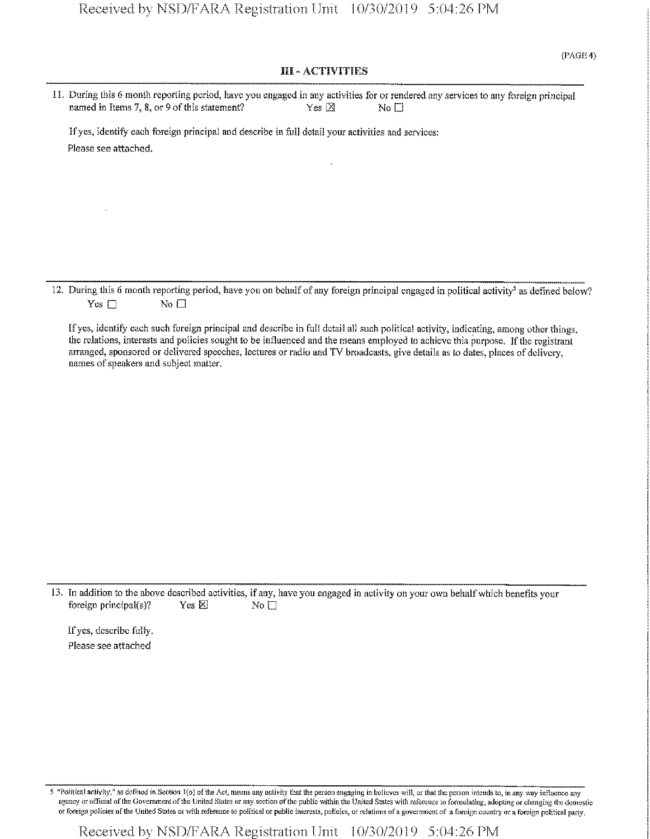## III - ACTIVITIES

| 11. During this 6 month reporting period, have you engaged in any activities for or rendered any services to any foreign principal |                |              |
|------------------------------------------------------------------------------------------------------------------------------------|----------------|--------------|
| named in Items 7, 8, or 9 of this statement?                                                                                       | $Yes \nvert X$ | $N_0$ $\Box$ |
|                                                                                                                                    |                |              |
| If yes, identify each foreign principal and describe in full detail your activities and services:                                  |                |              |
| Please see attached.                                                                                                               |                |              |

12. During this 6 month reporting period, have you on behalf of any foreign principal engaged in political activity<sup>5</sup> as defined below?  $Yes \Box$  No  $\Box$ 

Ifyes, identify each such foreign principal and describe in full detail all such political activity, indicating, among other things, the relations, interests and policies sought to be influenced and the means employed to achieve this purpose. If the registrant arranged, sponsored or delivered speeches, lectures or radio and TV broadcasts, give details as to dates, places of delivery, names of speakers and subject matter.

13. In addition to the above described activities, if any, have you engaged in activity on your own behalf which benefits your foreign principal(s)? Yes  $\boxtimes$  No  $\square$ 

If yes, describe fully. Please see attached

5 "Political activity," as defined in Section 1(o) of the Act, means any activity that the person engaging in believes will, or that the person intends to, in any way influence any agency or official of the Government of the United States or any section of the public within the United States with reference to formulating, adopting or changing the domestic or foreign policies ofthe United States or with reference to political or public interests, policies, or relations ofa government of a foreign country or a foreign political party,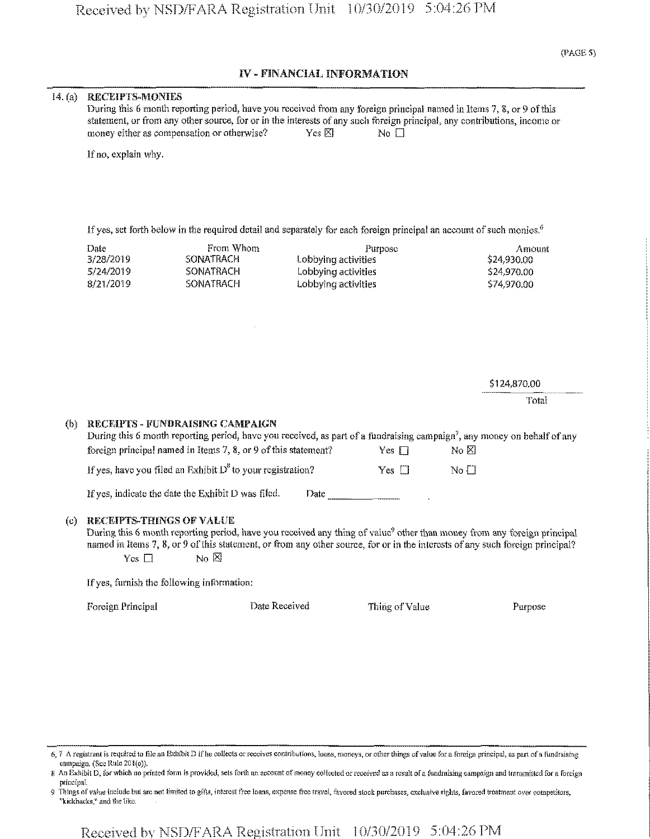## IV - FINANCIAL INFORMATION

#### 14. (a) RECEIPTS-MONIES

| During this 6 month reporting period, have you received from any foreign principal named in Items 7, 8, or 9 of this     |                 |        |  |
|--------------------------------------------------------------------------------------------------------------------------|-----------------|--------|--|
| statement, or from any other source, for or in the interests of any such foreign principal, any contributions, income or |                 |        |  |
| money either as compensation or otherwise?                                                                               | $Yes \boxtimes$ | No II. |  |

If no, explain why.

If yes, set forth below in the required detail and separately for each foreign principal an account of such monies.<sup>6</sup>

| Date.     | From Whom | Purpose             | Amount      |
|-----------|-----------|---------------------|-------------|
| 3/28/2019 | SONATRACH | Lobbying activities | \$24,930.00 |
| 5/24/2019 | SONATRACH | Lobbying activities | \$24,970.00 |
| 8/21/2019 | SONATRACH | Lobbying activities | \$74,970.00 |

\$124,870.00

Total

#### (b) RECEIPTS - FUNDRAISING CAMPAIGN

| During this 6 month reporting period, have you received, as part of a fundraising campaign <sup>7</sup> , any money on behalf of any |                 |                                    |  |
|--------------------------------------------------------------------------------------------------------------------------------------|-----------------|------------------------------------|--|
| foreign principal named in Items 7, 8, or 9 of this statement?                                                                       | $Yes \ \square$ | No X1                              |  |
| If yes, have you filed an Exhibit $D^8$ to your registration?                                                                        | $Yes \ \Box$    | $\overline{N}$ o $\overline{\Box}$ |  |
| If yes, indicate the date the Exhibit D was filed.<br>Date                                                                           |                 |                                    |  |

#### (c) RECEIPTS-THINGS OF VALUE

During this 6 month reporting period, have you received any thing of value<sup>9</sup> other than money from any foreign principal named in Items 7, 8, or 9 of this statement, or from any other source, for or in the interests of any such foreign principal?  $Ycs \quad \Box$  No  $\boxtimes$ 

If yes, furnish the following information:

Foreign Principal Date Received Thing of Value Purpose

- 6, 7 A registrant is required to file an Exhibit D if he collects or receives contributions, loans, moneys, or other things of value for a foreign principal, as part of a fundraising campaign. (See Rule 201(e)).
- 8 An Exhibit D, forwhich no printed form is provided, sets forth an account ofmoney collected or received as a result ofa fundraising campaign and transmitted fora foreign principal.
- 9 Things of valise include but are not limited to gifts, interest free loans, expense free travel, favored stock purchases, exclusive rights, favored treatment over competitors, ''kickbacks," and the like.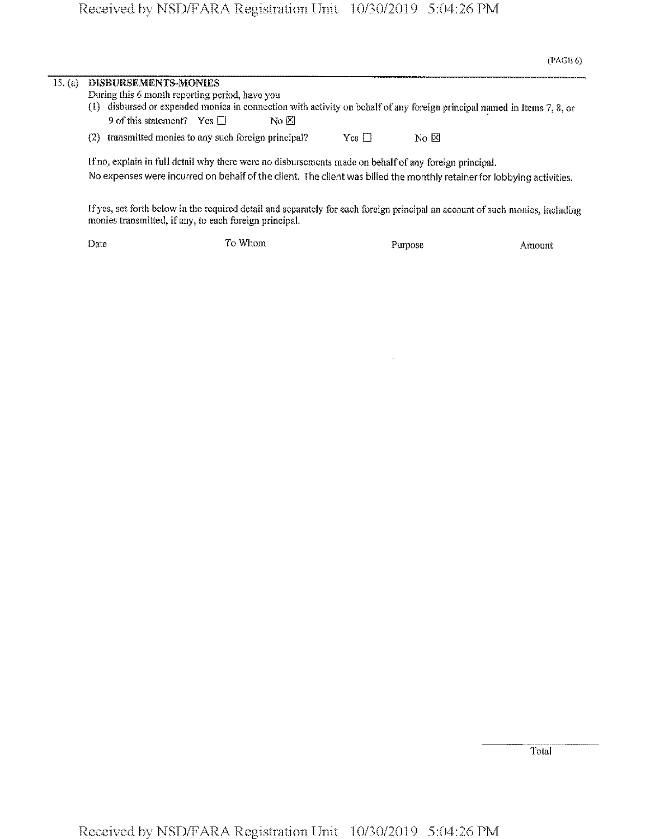# Received by **NSD/FARA** Registration **Unit** 10/30/2019 5:04:26 PM

| 15. (a) | DISBURSEMENTS-MONIES<br>During this 6 month reporting period, have you<br>(1) disbursed or expended monies in connection with activity on behalf of any foreign principal named in Items 7, 8, or |  |  |  |  |  |  |  |
|---------|---------------------------------------------------------------------------------------------------------------------------------------------------------------------------------------------------|--|--|--|--|--|--|--|
|         |                                                                                                                                                                                                   |  |  |  |  |  |  |  |
|         | 9 of this statement? Yes $\Box$<br>No X                                                                                                                                                           |  |  |  |  |  |  |  |
|         | transmitted monies to any such foreign principal?<br>$Yes \Box$<br>No X<br>(2)                                                                                                                    |  |  |  |  |  |  |  |
|         | If no, explain in full detail why there were no disbursements made on behalf of any foreign principal.                                                                                            |  |  |  |  |  |  |  |
|         | No expenses were incurred on behalf of the client. The client was billed the monthly retainer for lobbying activities.                                                                            |  |  |  |  |  |  |  |
|         | If yes, set forth below in the required detail and separately for each foreign principal an account of such monies, including<br>monies transmitted, if any, to each foreign principal.           |  |  |  |  |  |  |  |

Date **To Whom Purpose Amount** 

 $\hat{\boldsymbol{\beta}}$ 

Total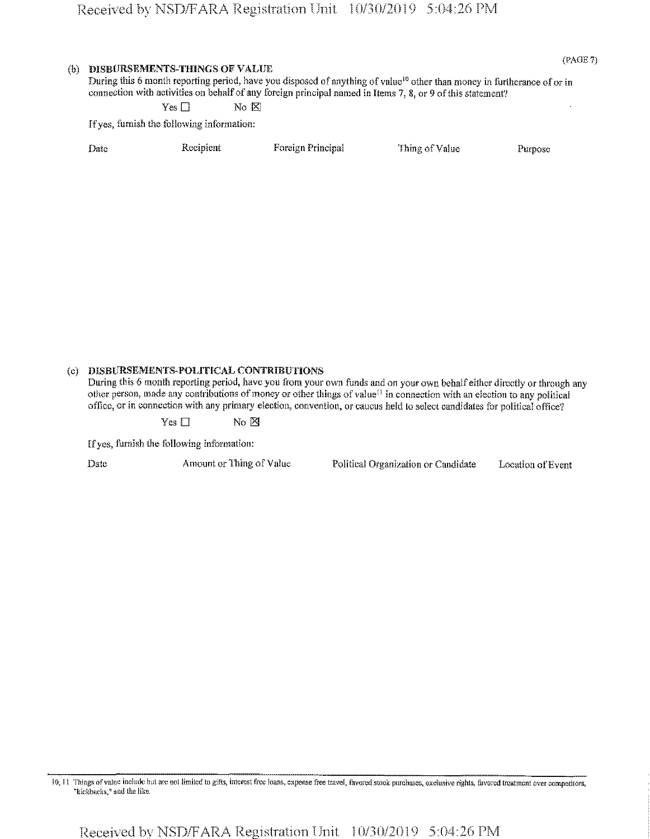| (b) |      | <b>DISBURSEMENTS-THINGS OF VALUE</b>       | During this 6 month reporting period, have you disposed of anything of value <sup>10</sup> other than money in furtherance of or in<br>connection with activities on behalf of any foreign principal named in Items 7, 8, or 9 of this statement? |                | (PAGE 7) |
|-----|------|--------------------------------------------|---------------------------------------------------------------------------------------------------------------------------------------------------------------------------------------------------------------------------------------------------|----------------|----------|
|     |      | Yes I                                      | $\overline{N}$ $\overline{N}$                                                                                                                                                                                                                     |                |          |
|     |      | If yes, furnish the following information: |                                                                                                                                                                                                                                                   |                |          |
|     | Date | Recipient                                  | Foreign Principal                                                                                                                                                                                                                                 | Thing of Value | Purpose  |
|     |      |                                            |                                                                                                                                                                                                                                                   |                |          |
|     |      |                                            |                                                                                                                                                                                                                                                   |                |          |

### (c) **DISBURSEMENTS POLITICAL** CONTRIBUTIONS

During this 6 month reporting period, have you from your own funds and on your own behalf either directly or through any other person, made any contributions of money or other things of value<sup>11</sup> in connection with an election to any political office, or in connection with any primary election, convention, or caucus held to select candidates for political office?

 $Yes \Box$  No  $\boxtimes$ 

[fyes, furnish the following information:

Date Amount or Thing of Value Political Organization or Candidate Location of Event

10,11 Things ofvalue include but are not limited to gifts, interest free loans, expense free travel, favored stock purchases, exclusive rights, favored treatment over competitors, "kickbacks," and the like.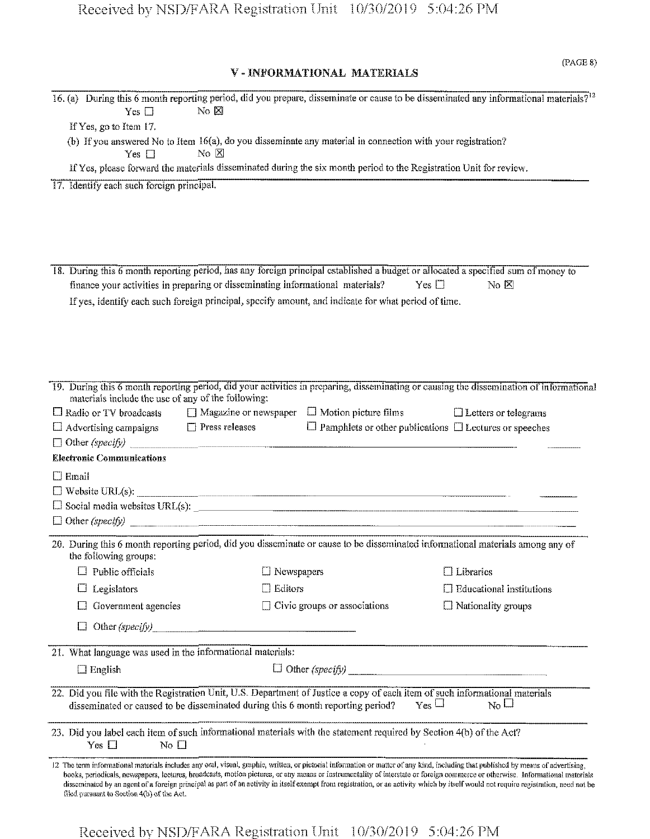## V - INFORMATIONAL MATERIALS

| Yes $\square$                                                                                                                                     | No E                                                                                                                              |                                     | 16. (a) During this 6 month reporting period, did you prepare, disseminate or cause to be disseminated any informational materials? <sup>12</sup>                                                                                                                                                                                                                                                                                                                                                                                                             |
|---------------------------------------------------------------------------------------------------------------------------------------------------|-----------------------------------------------------------------------------------------------------------------------------------|-------------------------------------|---------------------------------------------------------------------------------------------------------------------------------------------------------------------------------------------------------------------------------------------------------------------------------------------------------------------------------------------------------------------------------------------------------------------------------------------------------------------------------------------------------------------------------------------------------------|
| If Yes, go to Item 17.                                                                                                                            |                                                                                                                                   |                                     |                                                                                                                                                                                                                                                                                                                                                                                                                                                                                                                                                               |
| Yes $\Box$                                                                                                                                        | (b) If you answered No to Item 16(a), do you disseminate any material in connection with your registration?<br>$\rm{No}$ $\rm{K}$ |                                     |                                                                                                                                                                                                                                                                                                                                                                                                                                                                                                                                                               |
|                                                                                                                                                   | If Yes, please forward the materials disseminated during the six month period to the Registration Unit for review.                |                                     |                                                                                                                                                                                                                                                                                                                                                                                                                                                                                                                                                               |
| 17. Identify each such foreign principal.                                                                                                         |                                                                                                                                   |                                     |                                                                                                                                                                                                                                                                                                                                                                                                                                                                                                                                                               |
|                                                                                                                                                   |                                                                                                                                   |                                     |                                                                                                                                                                                                                                                                                                                                                                                                                                                                                                                                                               |
|                                                                                                                                                   |                                                                                                                                   |                                     |                                                                                                                                                                                                                                                                                                                                                                                                                                                                                                                                                               |
|                                                                                                                                                   |                                                                                                                                   |                                     |                                                                                                                                                                                                                                                                                                                                                                                                                                                                                                                                                               |
|                                                                                                                                                   |                                                                                                                                   |                                     |                                                                                                                                                                                                                                                                                                                                                                                                                                                                                                                                                               |
|                                                                                                                                                   |                                                                                                                                   |                                     | 18. During this 6 month reporting period, has any foreign principal established a budget or allocated a specified sum of money to                                                                                                                                                                                                                                                                                                                                                                                                                             |
|                                                                                                                                                   | finance your activities in preparing or disseminating informational materials?                                                    |                                     | Yes $\square$<br>No $\boxtimes$                                                                                                                                                                                                                                                                                                                                                                                                                                                                                                                               |
|                                                                                                                                                   | If yes, identify each such foreign principal, specify amount, and indicate for what period of time.                               |                                     |                                                                                                                                                                                                                                                                                                                                                                                                                                                                                                                                                               |
|                                                                                                                                                   |                                                                                                                                   |                                     |                                                                                                                                                                                                                                                                                                                                                                                                                                                                                                                                                               |
|                                                                                                                                                   |                                                                                                                                   |                                     |                                                                                                                                                                                                                                                                                                                                                                                                                                                                                                                                                               |
|                                                                                                                                                   |                                                                                                                                   |                                     |                                                                                                                                                                                                                                                                                                                                                                                                                                                                                                                                                               |
|                                                                                                                                                   |                                                                                                                                   |                                     |                                                                                                                                                                                                                                                                                                                                                                                                                                                                                                                                                               |
|                                                                                                                                                   |                                                                                                                                   |                                     | 19. During this 6 month reporting period, did your activities in preparing, disseminating or causing the dissemination of informational                                                                                                                                                                                                                                                                                                                                                                                                                       |
| materials include the use of any of the following:                                                                                                |                                                                                                                                   |                                     |                                                                                                                                                                                                                                                                                                                                                                                                                                                                                                                                                               |
| $\Box$ Radio or TV broadcasts $\Box$ Magazine or newspaper $\Box$ Motion picture films                                                            |                                                                                                                                   |                                     | $\Box$ Letters or telegrams                                                                                                                                                                                                                                                                                                                                                                                                                                                                                                                                   |
| $\Box$ Advertising campaigns                                                                                                                      | $\Box$ Press releases                                                                                                             |                                     | $\Box$ Pamphlets or other publications $\Box$ Lectures or speeches                                                                                                                                                                                                                                                                                                                                                                                                                                                                                            |
| $\Box$ Other (specify)                                                                                                                            |                                                                                                                                   |                                     |                                                                                                                                                                                                                                                                                                                                                                                                                                                                                                                                                               |
| <b>Electronic Communications</b>                                                                                                                  |                                                                                                                                   |                                     |                                                                                                                                                                                                                                                                                                                                                                                                                                                                                                                                                               |
| $\Box$ Email                                                                                                                                      |                                                                                                                                   |                                     |                                                                                                                                                                                                                                                                                                                                                                                                                                                                                                                                                               |
| $\Box$ Website URL(s):                                                                                                                            |                                                                                                                                   |                                     |                                                                                                                                                                                                                                                                                                                                                                                                                                                                                                                                                               |
|                                                                                                                                                   |                                                                                                                                   |                                     | $\Box$ Social media websites URL(s): $\Box$                                                                                                                                                                                                                                                                                                                                                                                                                                                                                                                   |
|                                                                                                                                                   |                                                                                                                                   |                                     |                                                                                                                                                                                                                                                                                                                                                                                                                                                                                                                                                               |
|                                                                                                                                                   |                                                                                                                                   |                                     | 20. During this 6 month reporting period, did you disseminate or cause to be disseminated informational materials among any of                                                                                                                                                                                                                                                                                                                                                                                                                                |
| the following groups:                                                                                                                             |                                                                                                                                   |                                     |                                                                                                                                                                                                                                                                                                                                                                                                                                                                                                                                                               |
| $\Box$ Public officials                                                                                                                           | $\Box$ Newspapers                                                                                                                 |                                     | $\Box$ Libraries                                                                                                                                                                                                                                                                                                                                                                                                                                                                                                                                              |
| Legislators                                                                                                                                       | Editors                                                                                                                           |                                     | $\Box$ Educational institutions                                                                                                                                                                                                                                                                                                                                                                                                                                                                                                                               |
| Government agencies                                                                                                                               |                                                                                                                                   | $\Box$ Civic groups or associations | $\Box$ Nationality groups                                                                                                                                                                                                                                                                                                                                                                                                                                                                                                                                     |
|                                                                                                                                                   | Other $(speci f y)$                                                                                                               |                                     |                                                                                                                                                                                                                                                                                                                                                                                                                                                                                                                                                               |
|                                                                                                                                                   |                                                                                                                                   |                                     |                                                                                                                                                                                                                                                                                                                                                                                                                                                                                                                                                               |
| 21. What language was used in the informational materials:                                                                                        |                                                                                                                                   |                                     |                                                                                                                                                                                                                                                                                                                                                                                                                                                                                                                                                               |
| $\Box$ English                                                                                                                                    |                                                                                                                                   |                                     | $\Box$ Other (specify)                                                                                                                                                                                                                                                                                                                                                                                                                                                                                                                                        |
|                                                                                                                                                   |                                                                                                                                   |                                     | 22. Did you file with the Registration Unit, U.S. Department of Justice a copy of each item of such informational materials                                                                                                                                                                                                                                                                                                                                                                                                                                   |
|                                                                                                                                                   | disseminated or caused to be disseminated during this 6 month reporting period?                                                   |                                     | $_{\rm Yes}$ $\Box$<br>$_{\rm No}$ $\Box$                                                                                                                                                                                                                                                                                                                                                                                                                                                                                                                     |
| 23. Did you label each item of such informational materials with the statement required by Section 4(b) of the Act?<br>Yes $\Box$<br>No $\square$ |                                                                                                                                   |                                     |                                                                                                                                                                                                                                                                                                                                                                                                                                                                                                                                                               |
| filed pursuant to Section 4(b) of the Act.                                                                                                        |                                                                                                                                   |                                     | 12 The term informational matorials includes any oral, visual, graphic, written, or pictorial information or matter of any kind, including that published by means of advertising,<br>books, periodicals, newspapers, lectures, broadcasts, motion pictures, or any means or instrumentality of interstate or foreign commerce or otherwise. Informational materials<br>dissominated by an agent of a foreign principal as part of an activity in itself exempt from registration, or an activity which by itself would not require registration, need not be |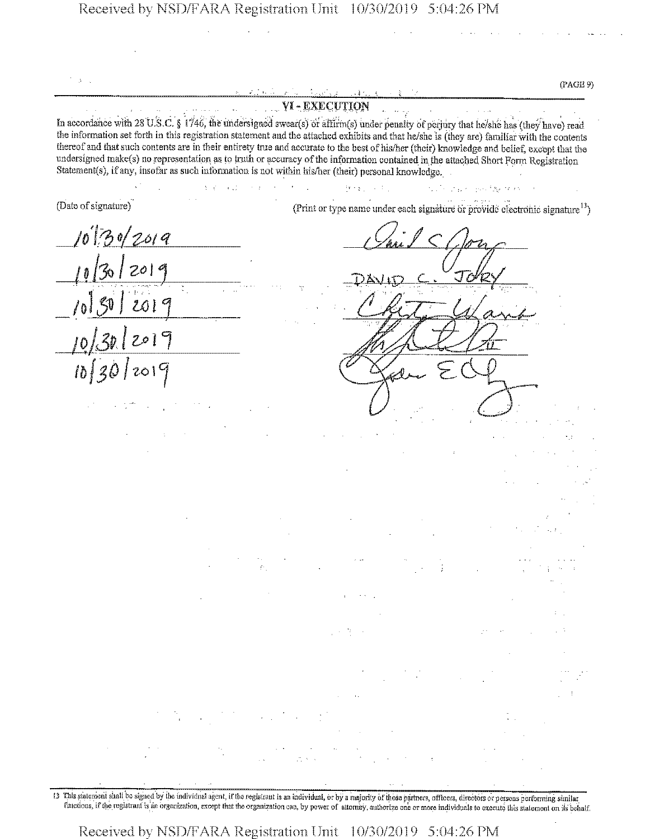**(PAGE 9)** -------- ------------------------------------------ -*—• —*——----......' <sup>&</sup>lt; \_\_\_\_\_\_\_\_\_\_\_\_\_\_\_\_\_\_\_\_\_\_\_\_\_\_\_\_\_ \_\_\_\_\_\_\_\_\_\_\_ **YI-EXECUTION** In accordance with 28 U.S.C. § 1746, the undersigned swear(s) or affirm(s) under penalty of perjury that he/she has (they have) read the information set forth in this registration statement and the attached exhibits and that he/she is (they are) familiar with the contents thereof and that such contents are in their entirety true and accurate to the best of his/her (their) knowledge and belief, except that the undersigned make(s) no representation as to truth or accuracy of the information contained in the attached Short Form Registration Statement(s), if any, insofar as such information is not within his/her (their) personal knowledge,  $\{q_{\alpha},\gamma_{\alpha}\}$  ,  $\{q_{\alpha}\}$  , start and by thin it (Date of signature) (Print or type name under each signature or provide electronic signature<sup>13</sup>) *folfd of 4 <sup>19</sup> fa <sup>I</sup> &*/I  $\frac{1}{\sqrt{2n}}$  $\frac{30k}{1}$  $\frac{\zeta}{\zeta}$ *Ibf^dJzolCj*

E3 This {statement shall be signal by the individual agent, ifthe registrant is an individual, dr by a majority ofthose partners, officers, directors or persons performing similar functions, ifthe registrant is an organization, except that the organization can, by power of attorney, authorise one ormore individuals to execute tins statement on its behalf,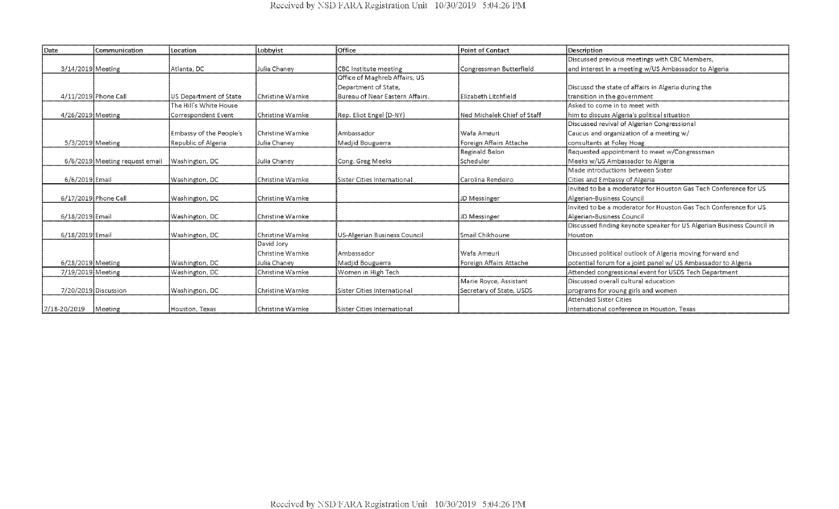| Date                | Communication                  | Location                       | Lobbyist                  | Office                          | Point of Contact            | Description                                                           |
|---------------------|--------------------------------|--------------------------------|---------------------------|---------------------------------|-----------------------------|-----------------------------------------------------------------------|
|                     |                                |                                |                           |                                 |                             | Discussed previous meetings with CBC Members,                         |
| 3/14/2019 Meeting   |                                | Atlanta, DC                    | Julia Chaney              | CBC Institute meeting           | Congressman Butterfield     | and interest in a meeting w/US Ambassador to Algeria                  |
|                     |                                |                                |                           | Office of Maghreb Affairs, US   |                             |                                                                       |
|                     |                                |                                |                           | Department of State,            |                             | Discussd the state of affairs in Algeria during the                   |
|                     | 4/11/2019 Phone Call           | <b>IUS Department of State</b> | Christine Warnke          | Bureau of Near Eastern Affairs. | <b>Elizabeth Litchfield</b> | transition in the government                                          |
|                     |                                | The Hill's White House         |                           |                                 |                             | Asked to come in to meet with                                         |
| 4/26/2019 Meeting   |                                | Correspondent Event            | Christine Warnke          | Rep. Eliot Engel (D-NY)         | Ned Michalek Chief of Staff | him to discuss Algeria's political situation                          |
|                     |                                |                                |                           |                                 |                             | Discussed revival of Algerian Congressional                           |
|                     |                                | Embassy of the People's        | <b>l</b> Christine Warnke | l Ambassador                    | lWafa Ameuri                | Caucus and organization of a meeting w/                               |
| $5/3/2019$ Meeting  |                                | Republic of Algeria            | Julia Chaney              | Madjid Bouguerra                | Foreign Affairs Attache     | consultants at Foley Hoag                                             |
|                     |                                |                                |                           |                                 | Reginald Belon              | Requested appointment to meet w/Congressman                           |
|                     | 6/6/2019 Meeting request email | Washington, DC                 | Julia Chaney              | Cong. Greg Meeks                | <b>Scheduler</b>            | Meeks w/US Ambassador to Algeria                                      |
|                     |                                |                                |                           |                                 |                             | Made introductions between Sister                                     |
| 6/6/2019 Email      |                                | Washington, DC                 | Christine Warnke          | Sister Cities International     | Carolina Rendeiro           | Cities and Embassy of Algeria                                         |
|                     |                                |                                |                           |                                 |                             | Invited to be a moderator for Houston Gas Tech Conference for US      |
|                     | 6/17/2019 Phone Call           | Washington, DC                 | Christine Warnke          |                                 | <b>JD Messinger</b>         | Algerian-Business Council                                             |
|                     |                                |                                |                           |                                 |                             | Invited to be a moderator for Houston Gas Tech Conference for US      |
| $6/18/2019$ Email   |                                | Washington, DC                 | Christine Warnke          |                                 | <b>JD Messinger</b>         | Algerian-Business Council                                             |
|                     |                                |                                |                           |                                 |                             | Discussed finding keynote speaker for US Algerian Business Council in |
| 6/18/2019 Email     |                                | Washington, DC                 | Christine Warnke          | US-Algerian Business Council    | <b>Smail Chikhoune</b>      | Houston                                                               |
|                     |                                |                                | David Jory                |                                 |                             |                                                                       |
|                     |                                |                                | Christine Warnke          | <b>Ambassador</b>               | l Wafa Ameuri               | Discussed political outlook of Algeria moving forward and             |
| $6/28/2019$ Meeting |                                | Washington, DC                 | Julia Chanev              | Madjid Bouguerra                | Foreign Affairs Attache     | potential forum for a joint panel w/ US Ambassador to Algeria         |
| 7/19/2019 Meeting   |                                | Washington, DC                 | Christine Warnke          | Women in High Tech              |                             | Attended congressional event for USDS Tech Department                 |
|                     |                                |                                |                           |                                 | Marie Royce, Assistant      | Discussed overall cultural education                                  |
|                     | 7/20/2019 Discussion           | Washington, DC                 | Christine Warnke          | Sister Cities International     | Secretary of State, USDS    | programs for young girls and women                                    |
|                     |                                |                                |                           |                                 |                             | Attended Sister Cities                                                |
| 7/18-20/2019        | Meeting                        | <b>Houston</b> , Texas         | Christine Warnke          | lSister Cities International    |                             | IInternational conference in Houston. Texas                           |